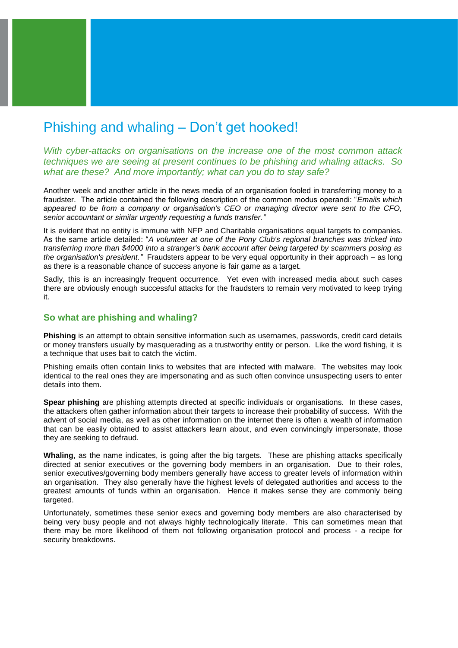# Phishing and whaling – Don't get hooked!

*With cyber-attacks on organisations on the increase one of the most common attack techniques we are seeing at present continues to be phishing and whaling attacks. So what are these? And more importantly; what can you do to stay safe?*

Another week and another article in the news media of an organisation fooled in transferring money to a fraudster. The article contained the following description of the common modus operandi: "*Emails which appeared to be from a company or organisation's CEO or managing director were sent to the CFO, senior accountant or similar urgently requesting a funds transfer."*

It is evident that no entity is immune with NFP and Charitable organisations equal targets to companies. As the same article detailed: "*A volunteer at one of the Pony Club's regional branches was tricked into transferring more than \$4000 into a stranger's bank account after being targeted by scammers posing as the organisation's president."* Fraudsters appear to be very equal opportunity in their approach – as long as there is a reasonable chance of success anyone is fair game as a target.

Sadly, this is an increasingly frequent occurrence. Yet even with increased media about such cases there are obviously enough successful attacks for the fraudsters to remain very motivated to keep trying it.

### **So what are phishing and whaling?**

**Phishing** is an attempt to obtain sensitive information such as usernames, passwords, credit card details or money transfers usually by masquerading as a trustworthy entity or person. Like the word fishing, it is a technique that uses bait to catch the victim.

Phishing emails often contain links to websites that are infected with malware. The websites may look identical to the real ones they are impersonating and as such often convince unsuspecting users to enter details into them.

**Spear phishing** are phishing attempts directed at specific individuals or organisations. In these cases, the attackers often gather information about their targets to increase their probability of success. With the advent of social media, as well as other information on the internet there is often a wealth of information that can be easily obtained to assist attackers learn about, and even convincingly impersonate, those they are seeking to defraud.

**Whaling**, as the name indicates, is going after the big targets. These are phishing attacks specifically directed at senior executives or the governing body members in an organisation. Due to their roles, senior executives/governing body members generally have access to greater levels of information within an organisation. They also generally have the highest levels of delegated authorities and access to the greatest amounts of funds within an organisation. Hence it makes sense they are commonly being targeted.

Unfortunately, sometimes these senior execs and governing body members are also characterised by being very busy people and not always highly technologically literate. This can sometimes mean that there may be more likelihood of them not following organisation protocol and process - a recipe for security breakdowns.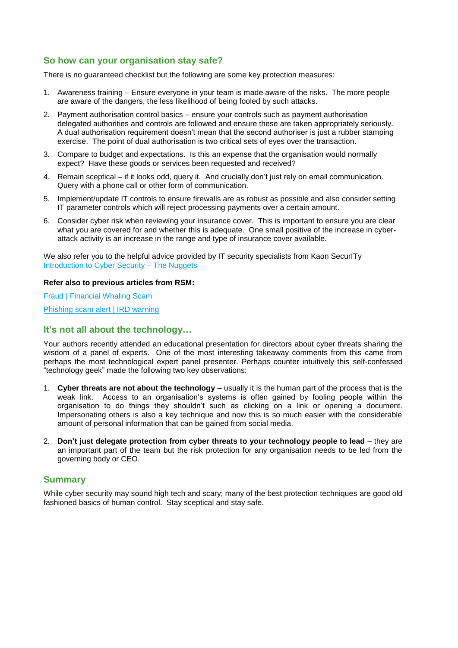## **So how can your organisation stay safe?**

There is no guaranteed checklist but the following are some key protection measures:

- 1. Awareness training Ensure everyone in your team is made aware of the risks. The more people are aware of the dangers, the less likelihood of being fooled by such attacks.
- 2. Payment authorisation control basics ensure your controls such as payment authorisation delegated authorities and controls are followed and ensure these are taken appropriately seriously. A dual authorisation requirement doesn't mean that the second authoriser is just a rubber stamping exercise. The point of dual authorisation is two critical sets of eyes over the transaction.
- 3. Compare to budget and expectations. Is this an expense that the organisation would normally expect? Have these goods or services been requested and received?
- 4. Remain sceptical if it looks odd, query it. And crucially don't just rely on email communication. Query with a phone call or other form of communication.
- 5. Implement/update IT controls to ensure firewalls are as robust as possible and also consider setting IT parameter controls which will reject processing payments over a certain amount.
- 6. Consider cyber risk when reviewing your insurance cover. This is important to ensure you are clear what you are covered for and whether this is adequate. One small positive of the increase in cyberattack activity is an increase in the range and type of insurance cover available.

We also refer you to the helpful advice provided by IT security specialists from Kaon SecurITy Introduction [to Cyber Security –](http://www.rsm.global/newzealand/news/introduction-cyber-security-nuggets) The Nuggets

#### **Refer also to previous articles from RSM:**

[Fraud | Financial Whaling Scam](http://www.rsm.global/newzealand/news/fraud-financial-whaling-scam-0) [Phishing scam alert | IRD warning](http://www.rsm.global/newzealand/news/phishing-scam-alert-ird-warning)

## **It's not all about the technology…**

Your authors recently attended an educational presentation for directors about cyber threats sharing the wisdom of a panel of experts. One of the most interesting takeaway comments from this came from perhaps the most technological expert panel presenter. Perhaps counter intuitively this self-confessed "technology geek" made the following two key observations:

- 1. **Cyber threats are not about the technology** usually it is the human part of the process that is the weak link. Access to an organisation's systems is often gained by fooling people within the organisation to do things they shouldn't such as clicking on a link or opening a document. Impersonating others is also a key technique and now this is so much easier with the considerable amount of personal information that can be gained from social media.
- 2. **Don't just delegate protection from cyber threats to your technology people to lead** they are an important part of the team but the risk protection for any organisation needs to be led from the governing body or CEO.

## **Summary**

While cyber security may sound high tech and scary; many of the best protection techniques are good old fashioned basics of human control. Stay sceptical and stay safe.